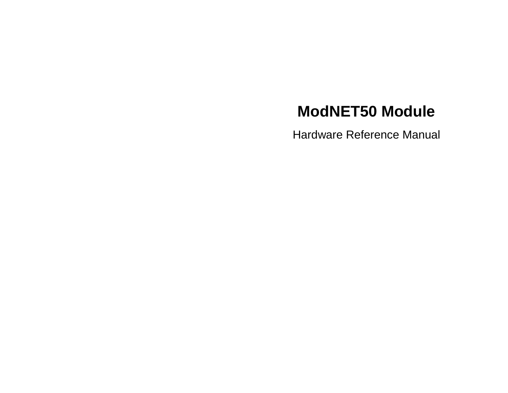# **ModNET50 Module**

Hardware Reference Manual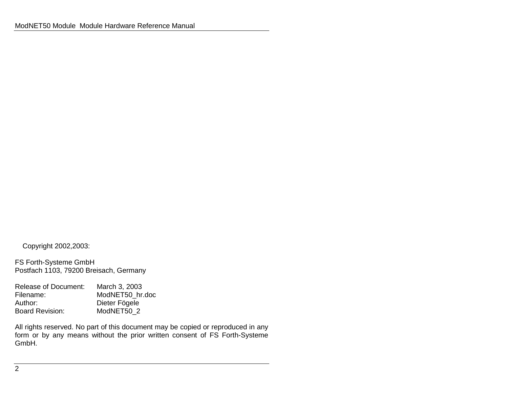Copyright 2002,2003:

FS Forth-Systeme GmbH Postfach 1103, 79200 Breisach, Germany

Release of Document: March 3, 2003 Filename: ModNET50\_hr.doc Author: Dieter Fögele<br>Board Revision: ModNET50 2 ModNET50\_2

All rights reserved. No part of this document may be copied or reproduced in any form or by any means without the prior written consent of FS Forth-Systeme GmbH.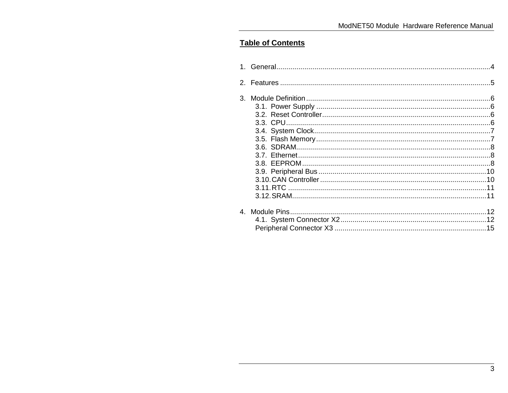# **Table of Contents**

| 3. |  |
|----|--|
|    |  |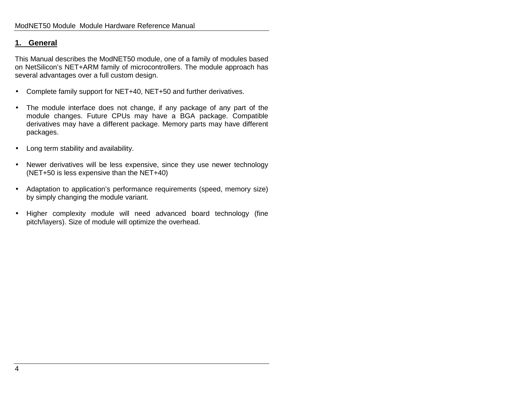## **1. General**

This Manual describes the ModNET50 module, one of a family of modules based on NetSilicon's NET+ARM family of microcontrollers. The module approach has several advantages over a full custom design.

- Complete family support for NET+40, NET+50 and further derivatives.
- The module interface does not change, if any package of any part of the module changes. Future CPUs may have a BGA package. Compatible derivatives may have a different package. Memory parts may have different packages.
- Long term stability and availability.
- Newer derivatives will be less expensive, since they use newer technology (NET+50 is less expensive than the NET+40)
- Adaptation to application's performance requirements (speed, memory size) by simply changing the module variant.
- Higher complexity module will need advanced board technology (fine pitch/layers). Size of module will optimize the overhead.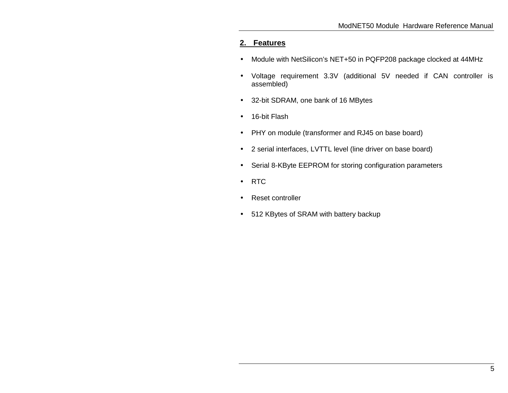# **2. Features**

- Module with NetSilicon's NET+50 in PQFP208 package clocked at 44MHz
- Voltage requirement 3.3V (additional 5V needed if CAN controller is assembled)
- 32-bit SDRAM, one bank of 16 MBytes
- 16-bit Flash
- PHY on module (transformer and RJ45 on base board)
- 2 serial interfaces, LVTTL level (line driver on base board)
- Serial 8-KByte EEPROM for storing configuration parameters
- RTC
- Reset controller
- 512 KBytes of SRAM with battery backup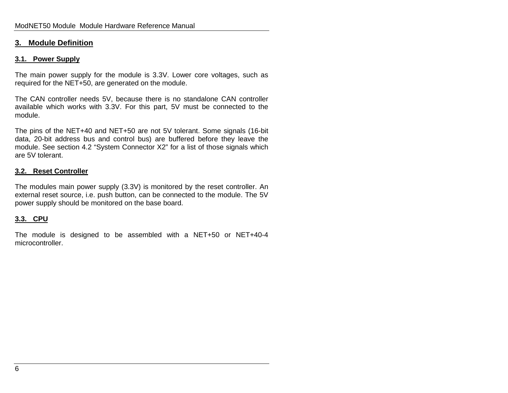#### **3. Module Definition**

#### **3.1. Power Supply**

The main power supply for the module is 3.3V. Lower core voltages, such as required for the NET+50, are generated on the module.

The CAN controller needs 5V, because there is no standalone CAN controller available which works with 3.3V. For this part, 5V must be connected to the module.

The pins of the NET+40 and NET+50 are not 5V tolerant. Some signals (16-bit data, 20-bit address bus and control bus) are buffered before they leave the module. See section 4.2 "System Connector X2" for a list of those signals which are 5V tolerant.

#### **3.2. Reset Controller**

The modules main power supply (3.3V) is monitored by the reset controller. An external reset source, i.e. push button, can be connected to the module. The 5V power supply should be monitored on the base board.

#### **3.3. CPU**

The module is designed to be assembled with a NET+50 or NET+40-4 microcontroller.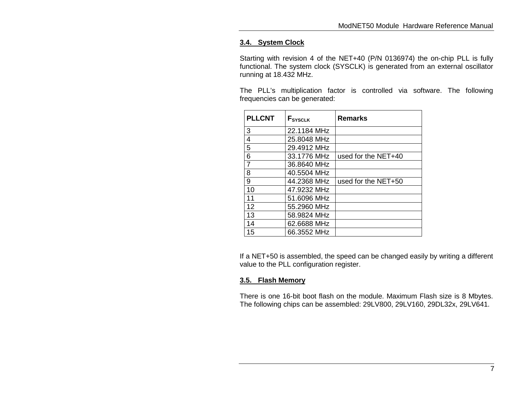## **3.4. System Clock**

Starting with revision 4 of the NET+40 (P/N 0136974) the on-chip PLL is fully functional. The system clock (SYSCLK) is generated from an external oscillator running at 18.432 MHz.

The PLL's multiplication factor is controlled via software. The following frequencies can be generated:

| <b>PLLCNT</b>  | F <sub>SYSCLK</sub> | <b>Remarks</b>      |
|----------------|---------------------|---------------------|
| 3              | 22.1184 MHz         |                     |
| 4              | 25.8048 MHz         |                     |
| 5              | 29.4912 MHz         |                     |
| 6              | 33.1776 MHz         | used for the NET+40 |
| $\overline{7}$ | 36.8640 MHz         |                     |
| 8              | 40.5504 MHz         |                     |
| 9              | 44.2368 MHz         | used for the NET+50 |
| 10             | 47.9232 MHz         |                     |
| 11             | 51.6096 MHz         |                     |
| 12             | 55.2960 MHz         |                     |
| 13             | 58.9824 MHz         |                     |
| 14             | 62.6688 MHz         |                     |
| 15             | 66.3552 MHz         |                     |

If a NET+50 is assembled, the speed can be changed easily by writing a different value to the PLL configuration register.

#### **3.5. Flash Memory**

There is one 16-bit boot flash on the module. Maximum Flash size is 8 Mbytes. The following chips can be assembled: 29LV800, 29LV160, 29DL32x, 29LV641.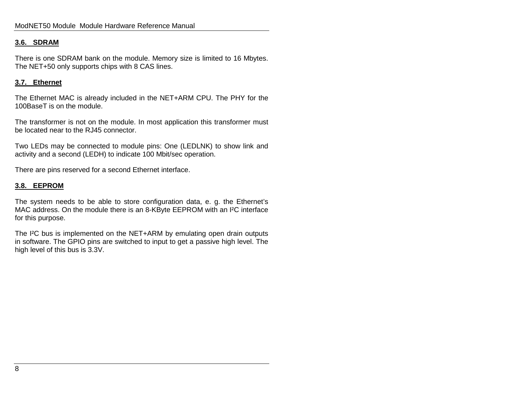#### **3.6. SDRAM**

There is one SDRAM bank on the module. Memory size is limited to 16 Mbytes. The NET+50 only supports chips with 8 CAS lines.

#### **3.7. Ethernet**

The Ethernet MAC is already included in the NET+ARM CPU. The PHY for the 100BaseT is on the module.

The transformer is not on the module. In most application this transformer must be located near to the RJ45 connector.

Two LEDs may be connected to module pins: One (LEDLNK) to show link and activity and a second (LEDH) to indicate 100 Mbit/sec operation.

There are pins reserved for a second Ethernet interface.

#### **3.8. EEPROM**

The system needs to be able to store configuration data, e. g. the Ethernet's MAC address. On the module there is an 8-KByte EEPROM with an I²C interface for this purpose.

The I<sup>2</sup>C bus is implemented on the NET+ARM by emulating open drain outputs in software. The GPIO pins are switched to input to get a passive high level. The high level of this bus is 3.3V.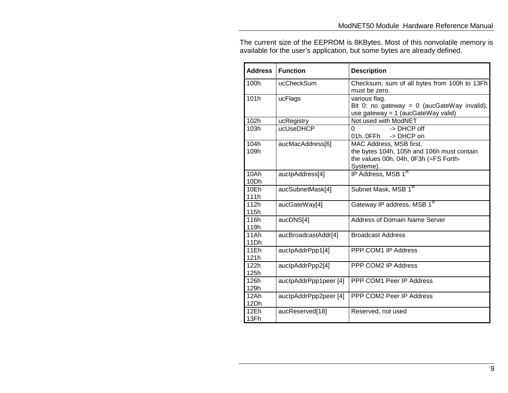The current size of the EEPROM is 8KBytes. Most of this nonvolatile memory is available for the user's application, but some bytes are already defined.

| <b>Address</b>      | <b>Function</b>       | <b>Description</b>                                                                                                          |
|---------------------|-----------------------|-----------------------------------------------------------------------------------------------------------------------------|
| 100h                | ucCheckSum            | Checksum, sum of all bytes from 100h to 13Fh<br>must be zero.                                                               |
| 101h                | ucFlags               | various flag.<br>Bit 0: no gateway = $0$ (aucGateWay invalid),<br>use gateway = 1 (aucGateWay valid)                        |
| 102h                | ucRegistry            | Not used with ModNET                                                                                                        |
| 103h                | ucUseDHCP             | -> DHCP off<br>$\Omega$<br>01h0FFh<br>-> DHCP on                                                                            |
| 104h<br>109h        | aucMacAddress[6]      | MAC Address, MSB first,<br>the bytes 104h, 105h and 106h must contain<br>the values 00h, 04h, 0F3h (=FS Forth-<br>Systeme). |
| 10Ah<br>10Dh        | auclpAddress[4]       | IP Address, MSB 1st                                                                                                         |
| 10Eh<br>111h        | aucSubnetMask[4]      | Subnet Mask, MSB 1st                                                                                                        |
| 112h<br>115h        | aucGateWay[4]         | Gateway IP address, MSB 1st                                                                                                 |
| 116h<br>119h        | aucDNS[4]             | <b>Address of Domain Name Server</b>                                                                                        |
| 11Ah<br>11Dh        | aucBroadcastAddr[4]   | <b>Broadcast Address</b>                                                                                                    |
| <b>11Eh</b><br>121h | auclpAddrPpp1[4]      | PPP COM1 IP Address                                                                                                         |
| 122h<br>125h        | auclpAddrPpp2[4]      | PPP COM2 IP Address                                                                                                         |
| 126h<br>129h        | auclpAddrPpp1peer [4] | PPP COM1 Peer IP Address                                                                                                    |
| 12Ah<br>12Dh        | auclpAddrPpp2peer [4] | PPP COM2 Peer IP Address                                                                                                    |
| 12Eh<br>13Fh        | aucReserved[18]       | Reserved, not used                                                                                                          |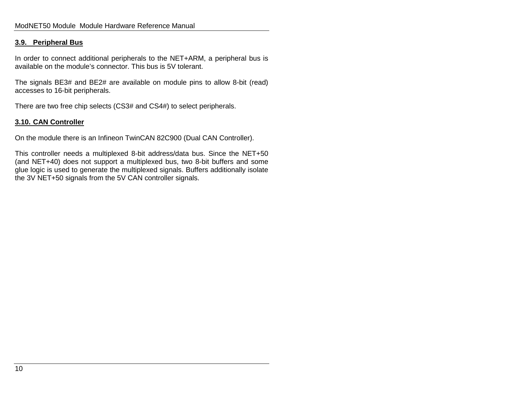#### **3.9. Peripheral Bus**

In order to connect additional peripherals to the NET+ARM, a peripheral bus is available on the module's connector. This bus is 5V tolerant.

The signals BE3# and BE2# are available on module pins to allow 8-bit (read) accesses to 16-bit peripherals.

There are two free chip selects (CS3# and CS4#) to select peripherals.

#### **3.10. CAN Controller**

On the module there is an Infineon TwinCAN 82C900 (Dual CAN Controller).

This controller needs a multiplexed 8-bit address/data bus. Since the NET+50 (and NET+40) does not support a multiplexed bus, two 8-bit buffers and some glue logic is used to generate the multiplexed signals. Buffers additionally isolate the 3V NET+50 signals from the 5V CAN controller signals.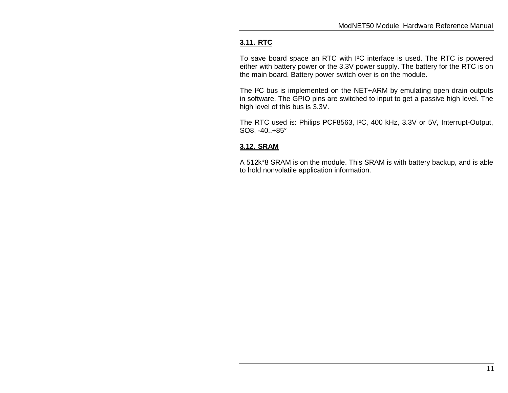# **3.11. RTC**

To save board space an RTC with I²C interface is used. The RTC is powered either with battery power or the 3.3V power supply. The battery for the RTC is on the main board. Battery power switch over is on the module.

The I²C bus is implemented on the NET+ARM by emulating open drain outputs in software. The GPIO pins are switched to input to get a passive high level. The high level of this bus is 3.3V.

The RTC used is: Philips PCF8563, I²C, 400 kHz, 3.3V or 5V, Interrupt-Output, SO8, -40..+85°

## **3.12. SRAM**

A 512k\*8 SRAM is on the module. This SRAM is with battery backup, and is able to hold nonvolatile application information.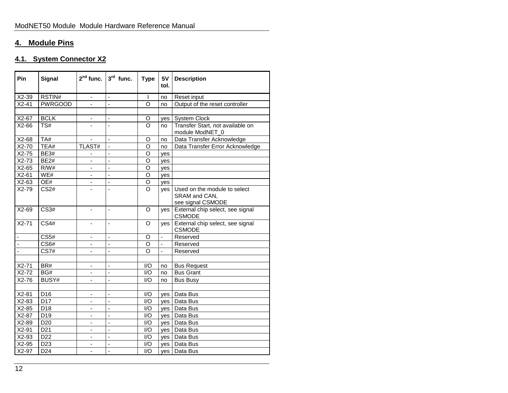# **4. Module Pins**

# **4.1. System Connector X2**

| Pin     | <b>Signal</b>     | $2nd$ func.                  | $3rd$ func.              | <b>Type</b>    | 5V<br>tol.     | <b>Description</b>                                                 |
|---------|-------------------|------------------------------|--------------------------|----------------|----------------|--------------------------------------------------------------------|
| $X2-39$ | RSTIN#            | $\qquad \qquad \blacksquare$ | ÷,                       |                | no             | Reset input                                                        |
| $X2-41$ | <b>PWRGOOD</b>    |                              | ÷,                       | $\circ$        | no             | Output of the reset controller                                     |
|         |                   |                              |                          |                |                |                                                                    |
| X2-67   | <b>BCLK</b>       | $\overline{\phantom{a}}$     | ÷,                       | O              | yes            | System Clock                                                       |
| $X2-66$ | TS#               |                              | ÷,                       | $\Omega$       | no             | Transfer Start, not available on<br>module ModNET_0                |
| $X2-68$ | TA#               | $\blacksquare$               | $\blacksquare$           | O              | no             | Data Transfer Acknowledge                                          |
| $X2-70$ | TEA#              | TLAST#                       | $\blacksquare$           | O              | no             | Data Transfer Error Acknowledge                                    |
| $X2-75$ | <b>BE3#</b>       |                              | ä,                       | O              | ves            |                                                                    |
| $X2-73$ | <b>BE2#</b>       | ÷,                           | ä,                       | O              | yes            |                                                                    |
| $X2-65$ | R/W#              | $\blacksquare$               | ä,                       | O              | yes            |                                                                    |
| $X2-61$ | WE#               |                              | ÷                        | O              | yes            |                                                                    |
| $X2-63$ | OE#               |                              | $\overline{a}$           | $\overline{0}$ | yes            |                                                                    |
| $X2-79$ | CS <sub>2#</sub>  |                              | ä,                       | $\Omega$       | yes            | Used on the module to select<br>SRAM and CAN,<br>see signal CSMODE |
| $X2-69$ | $\overline{CS3#}$ | $\overline{\phantom{a}}$     | $\blacksquare$           | $\Omega$       | yes            | External chip select, see signal<br><b>CSMODE</b>                  |
| $X2-71$ | <b>CS4#</b>       | $\blacksquare$               | L.                       | $\Omega$       | ves            | External chip select, see signal<br><b>CSMODE</b>                  |
|         | CS <sub>5#</sub>  | $\overline{\phantom{a}}$     | ÷                        | O              | ÷              | Reserved                                                           |
| ä,      | CS6#              |                              | ÷,                       | O              | $\blacksquare$ | Reserved                                                           |
| ä,      | <b>CS7#</b>       | $\qquad \qquad \blacksquare$ | ÷,                       | $\Omega$       | ä,             | Reserved                                                           |
|         |                   |                              |                          |                |                |                                                                    |
| $X2-71$ | BR#               | $\overline{\phantom{a}}$     | ÷,                       | I/O            | no             | <b>Bus Request</b>                                                 |
| $X2-72$ | BG#               |                              | $\overline{a}$           | I/O            | no             | <b>Bus Grant</b>                                                   |
| $X2-76$ | BUSY#             | $\blacksquare$               | $\overline{a}$           | I/O            | no             | <b>Bus Busy</b>                                                    |
| $X2-81$ | D <sub>16</sub>   | $\overline{\phantom{a}}$     | $\overline{\phantom{a}}$ | I/O            | yes            | Data Bus                                                           |
| $X2-83$ | D <sub>17</sub>   |                              | ÷,                       | I/O            | ves            | Data Bus                                                           |
| $X2-85$ | D18               | $\overline{\phantom{a}}$     | ä,                       | I/O            | yes            | Data Bus                                                           |
| X2-87   | D <sub>19</sub>   | $\blacksquare$               | ÷,                       | 1/O            | yes            | Data Bus                                                           |
| X2-89   | D <sub>20</sub>   | $\overline{\phantom{a}}$     | ÷,                       | I/O            | yes            | Data Bus                                                           |
| $X2-91$ | D <sub>21</sub>   |                              |                          | I/O            | yes            | Data Bus                                                           |
| $X2-93$ | D22               | $\overline{\phantom{a}}$     | ÷,                       | I/O            | yes            | Data Bus                                                           |
| $X2-95$ | D <sub>23</sub>   |                              | ÷,                       | 1/O            | yes            | Data Bus                                                           |
| $X2-97$ | D <sub>24</sub>   | $\overline{\phantom{a}}$     | ÷,                       | I/O            | yes            | Data Bus                                                           |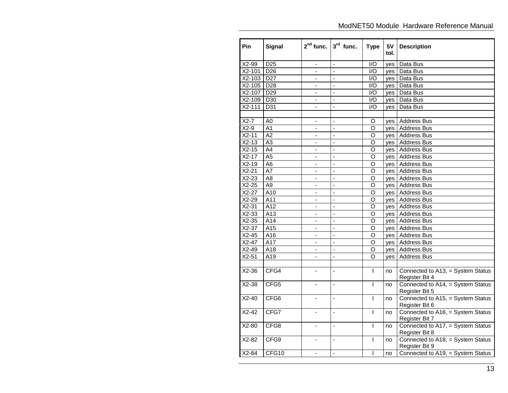| Pin               | <b>Signal</b>    | $2nd$ func.              | $3rd$ func.              | <b>Type</b>        | 5V<br>tol. | <b>Description</b>                                  |
|-------------------|------------------|--------------------------|--------------------------|--------------------|------------|-----------------------------------------------------|
| X2-99             | D <sub>25</sub>  | $\blacksquare$           | ÷,                       | 1/O                | yes        | Data Bus                                            |
| $X2-101$          | D26              |                          | ÷,                       | $\overline{1/O}$   | yes        | Data Bus                                            |
| $X2-103$          | D27              | $\overline{\phantom{a}}$ | ÷,                       | $\overline{1/O}$   | yes        | Data Bus                                            |
| $X2-105$          | D <sub>28</sub>  | $\blacksquare$           | ä,                       | $\overline{1/O}$   | yes        | Data Bus                                            |
| X2-107            | D <sub>29</sub>  |                          | L,                       | I/O                | yes        | Data Bus                                            |
| $X2-109$          | D30              | $\blacksquare$           | L,                       | I/O                | yes        | Data Bus                                            |
| $X2 - 111$        | D31              | ä,                       | $\overline{a}$           | 1/O                | yes        | Data Bus                                            |
|                   |                  |                          |                          |                    |            |                                                     |
| $\overline{X2-7}$ | A0               | $\overline{\phantom{a}}$ | $\overline{\phantom{0}}$ | O                  | yes        | Address Bus                                         |
| $X2-9$            | A1               | $\blacksquare$           | ÷,                       | O                  |            | yes   Address Bus                                   |
| $X2-11$           | A2               | $\blacksquare$           | ÷,                       | O                  |            | yes   Address Bus                                   |
| $X2-13$           | $\overline{A3}$  | $\blacksquare$           | ÷,                       | $\overline{\circ}$ |            | yes   Address Bus                                   |
| $X2-15$           | $\overline{A4}$  | $\blacksquare$           | ÷,                       | O                  |            | yes   Address Bus                                   |
| $X2-17$           | $\overline{A5}$  | $\blacksquare$           | $\overline{a}$           | O                  |            | yes   Address Bus                                   |
| $X2-19$           | A <sub>6</sub>   | $\blacksquare$           | L,                       | O                  |            | yes   Address Bus                                   |
| $X2-21$           | $\overline{A7}$  | $\overline{a}$           | ÷,                       | $\overline{\circ}$ | yes        | <b>Address Bus</b>                                  |
| $X2-23$           | A <sub>8</sub>   | $\overline{a}$           | $\overline{a}$           | O                  |            | yes   Address Bus                                   |
| $X2-25$           | A <sub>9</sub>   | $\overline{\phantom{a}}$ | $\overline{\phantom{0}}$ | O                  | yes        | <b>Address Bus</b>                                  |
| $X2-27$           | A10              | $\overline{\phantom{a}}$ | ä,                       | $\overline{\circ}$ | yes        | <b>Address Bus</b>                                  |
| X2-29             | A11              | $\blacksquare$           | $\overline{a}$           | O                  |            | yes   Address Bus                                   |
| $X2-31$           | $\overline{A12}$ | $\overline{\phantom{a}}$ | ÷,                       | O                  | yes        | <b>Address Bus</b>                                  |
| $X2-33$           | A13              | $\blacksquare$           | ÷,                       | O                  | yes        | <b>Address Bus</b>                                  |
| $X2-35$           | A14              | $\Box$                   | $\overline{a}$           | O                  |            | yes   Address Bus                                   |
| $X2-37$           | A15              | $\blacksquare$           | ÷,                       | O                  |            | yes   Address Bus                                   |
| $X2-45$           | A16              | $\overline{a}$           | L,                       | O                  | yes        | <b>Address Bus</b>                                  |
| $X2-47$           | $\overline{A17}$ | $\Box$                   | $\overline{a}$           | O                  |            | yes   Address Bus                                   |
| $X2-49$           | A18              | $\overline{\phantom{a}}$ | ÷,                       | O                  |            | yes Address Bus                                     |
| $X2-51$           | A19              |                          | L,                       | O                  | yes        | <b>Address Bus</b>                                  |
|                   |                  |                          |                          |                    |            |                                                     |
| $X2-36$           | CFG4             | ä,                       | ÷                        | $\mathbf{I}$       | no         | Connected to A13, = System Status<br>Register Bit 4 |
| $X2-38$           | CFG5             | ä,                       | $\overline{a}$           | $\mathbf{I}$       | no         | Connected to A14, = System Status<br>Register Bit 5 |
| $X2-40$           | CFG6             | ä,                       | $\overline{a}$           | $\mathbf{I}$       | no         | Connected to A15, = System Status<br>Register Bit 6 |
| $X2-42$           | CFG7             | ä,                       | $\overline{a}$           | $\mathbf{I}$       | no         | Connected to A16, = System Status<br>Register Bit 7 |
| $X2-80$           | CFG8             | $\blacksquare$           | L,                       | $\mathsf{I}$       | no         | Connected to A17, = System Status<br>Register Bit 8 |
| $X2-82$           | CFG9             | $\blacksquare$           | ÷,                       | T                  | no         | Connected to A18, = System Status<br>Register Bit 9 |
| $X2-84$           | CFG10            | ÷,                       | ÷,                       | $\overline{1}$     | no         | Connected to A19, = System Status                   |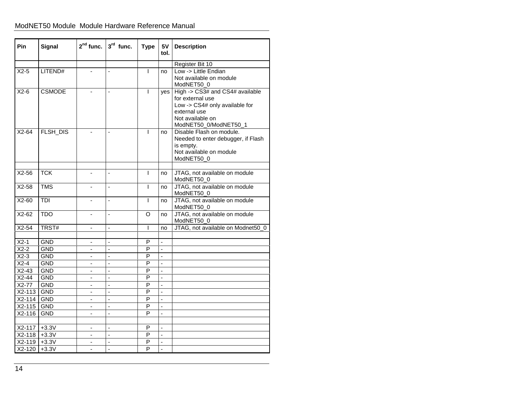# ModNET50 Module Module Hardware Reference Manual

| Pin              | Signal        | $2nd$ func.                  | $3rd$ func.    | <b>Type</b>    | 5V<br>tol.               | <b>Description</b>                                                                                                                                 |
|------------------|---------------|------------------------------|----------------|----------------|--------------------------|----------------------------------------------------------------------------------------------------------------------------------------------------|
|                  |               |                              |                |                |                          | Register Bit 10                                                                                                                                    |
| $X2-5$           | LITEND#       |                              |                | T              | no                       | Low -> Little Endian<br>Not available on module<br>ModNET50_0                                                                                      |
| $X2-6$           | <b>CSMODE</b> |                              | $\overline{a}$ | $\mathbf{I}$   | ves                      | High -> CS3# and CS4# available<br>for external use<br>Low -> CS4# only available for<br>external use<br>Not available on<br>ModNET50_0/ModNET50_1 |
| $X2-64$          | FLSH_DIS      |                              | ÷,             | L              | no                       | Disable Flash on module.<br>Needed to enter debugger, if Flash<br>is empty.<br>Not available on module<br>ModNET50_0                               |
| $X2-56$          | <b>TCK</b>    |                              | ÷,             | I              | no                       | JTAG, not available on module<br>ModNET50_0                                                                                                        |
| $X2-58$          | <b>TMS</b>    | ٠                            | ä,             | T              | no                       | JTAG, not available on module<br>ModNET50_0                                                                                                        |
| $X2-60$          | TDI           | $\blacksquare$               | ÷,             | $\mathbf{I}$   | no                       | JTAG, not available on module<br>ModNET50_0                                                                                                        |
| $X2-62$          | <b>TDO</b>    |                              | $\overline{a}$ | O              | no                       | JTAG, not available on module<br>ModNET50_0                                                                                                        |
| $X2-54$          | TRST#         | $\blacksquare$               | ä,             | T              | no                       | JTAG, not available on Modnet50_0                                                                                                                  |
| $X2-1$           | <b>GND</b>    | $\overline{\phantom{a}}$     | ÷,             | P              | $\overline{\phantom{a}}$ |                                                                                                                                                    |
| $X2-2$           | <b>GND</b>    |                              | L              | P              | $\overline{a}$           |                                                                                                                                                    |
| $X2-3$           | <b>GND</b>    |                              | $\overline{a}$ | P              | $\overline{a}$           |                                                                                                                                                    |
| $X2-4$           | <b>GND</b>    | ٠                            | ä,             | P              | $\overline{\phantom{a}}$ |                                                                                                                                                    |
| $X2-43$          | <b>GND</b>    | $\blacksquare$               | ä,             | P              | $\overline{a}$           |                                                                                                                                                    |
| $X2-44$          | <b>GND</b>    | ٠                            | $\overline{a}$ | $\overline{P}$ | $\blacksquare$           |                                                                                                                                                    |
| $X2-77$          | <b>GND</b>    | ÷,                           | $\overline{a}$ | P              | ä,                       |                                                                                                                                                    |
| X2-113           | <b>GND</b>    | $\qquad \qquad \blacksquare$ | $\overline{a}$ | P              | $\blacksquare$           |                                                                                                                                                    |
| $X2-114$ GND     |               | $\blacksquare$               | ÷,             | P              | $\overline{a}$           |                                                                                                                                                    |
| X2-115 GND       |               | $\blacksquare$               | $\overline{a}$ | P              | $\overline{a}$           |                                                                                                                                                    |
| X2-116           | <b>GND</b>    | $\overline{\phantom{a}}$     | L,             | P              | ÷,                       |                                                                                                                                                    |
|                  |               |                              |                |                |                          |                                                                                                                                                    |
| $X2-117$ +3.3V   |               |                              | L              | P              | ä,                       |                                                                                                                                                    |
| $X2-118$         | $+3.3V$       | $\overline{\phantom{a}}$     | L.             | P              | ÷,                       |                                                                                                                                                    |
| $X2-119$ +3.3V   |               | ٠                            | ÷,             | P              | $\blacksquare$           |                                                                                                                                                    |
| $X2 - 120$ +3.3V |               |                              | L,             | $\overline{P}$ | $\overline{\phantom{a}}$ |                                                                                                                                                    |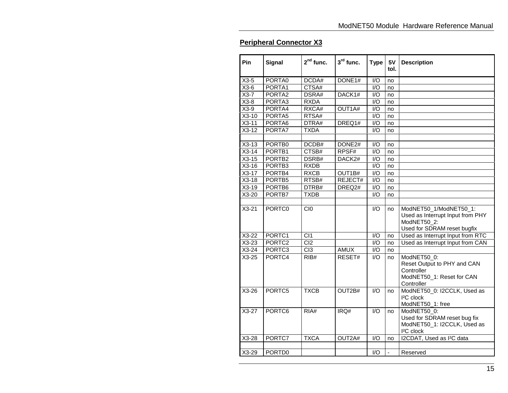# **Peripheral Connector X3**

| Pin                 | Signal             | $2nd$ func.      | $3rd$ func.        | <b>Type</b>      | 5V<br>tol.               | <b>Description</b>                                                                                       |
|---------------------|--------------------|------------------|--------------------|------------------|--------------------------|----------------------------------------------------------------------------------------------------------|
| $X3-5$              | PORTA0             | DCDA#            | DONE1#             | 1/O              | no                       |                                                                                                          |
| $X3-6$              | PORTA1             | CTSA#            |                    | I/O              | no                       |                                                                                                          |
| $X3-7$              | PORTA2             | DSRA#            | DACK1#             | $\overline{1/O}$ | no                       |                                                                                                          |
| $X3-8$              | PORTA3             | <b>RXDA</b>      |                    | 1/O              | no                       |                                                                                                          |
| $X3-9$              | PORTA4             | RXCA#            | OUT1A#             | I/O              | no                       |                                                                                                          |
| $X3-10$             | PORTA <sub>5</sub> | RTSA#            |                    | $\overline{1/O}$ | no                       |                                                                                                          |
| $X3-11$             | PORTA6             | DTRA#            | DREQ1#             | I/O              | no                       |                                                                                                          |
| $X3-12$             | PORTA7             | <b>TXDA</b>      |                    | I/O              | no                       |                                                                                                          |
|                     |                    |                  |                    |                  |                          |                                                                                                          |
| $X3-13$             | PORTB0             | DCDB#            | DONE <sub>2#</sub> | I/O              | no                       |                                                                                                          |
| $X3-14$             | PORTB1             | CTSB#            | RPSF#              | I/O              | no                       |                                                                                                          |
| $X3-15$             | PORTB <sub>2</sub> | DSRB#            | DACK <sub>2#</sub> | 1/O              | no                       |                                                                                                          |
| $X3-16$             | PORTB <sub>3</sub> | <b>RXDB</b>      |                    | $\overline{1/O}$ | no                       |                                                                                                          |
| $X3-17$             | PORTB4             | <b>RXCB</b>      | OUT1B#             | I/O              | no                       |                                                                                                          |
| $X3-18$             | PORTB <sub>5</sub> | RTSB#            | REJECT#            | I/O              | no                       |                                                                                                          |
| $X3-19$             | PORTB6             | DTRB#            | DREQ2#             | I/O              | no                       |                                                                                                          |
| $X3-20$             | PORTB7             | <b>TXDB</b>      |                    | I/O              | no                       |                                                                                                          |
|                     |                    |                  |                    |                  |                          |                                                                                                          |
| $\overline{X}$ 3-21 | PORTC0             | C <sub>I0</sub>  |                    | I/O              | no                       | ModNET50_1/ModNET50_1:<br>Used as Interrupt Input from PHY<br>ModNET50 2:<br>Used for SDRAM reset bugfix |
| $X3-22$             | PORTC1             | $\overline{CI1}$ |                    | $\overline{1/O}$ | no                       | Used as Interrupt Input from RTC                                                                         |
| $X3-23$             | PORTC <sub>2</sub> | C <sub>12</sub>  |                    | I/O              | no                       | Used as Interrupt Input from CAN                                                                         |
| $X3-24$             | PORTC3             | Cl3              | AMUX               | $\overline{1/O}$ | no                       |                                                                                                          |
| $X3-25$             | PORTC4             | RIB#             | RESET#             | 1/O              | no                       | ModNET50_0:<br>Reset Output to PHY and CAN<br>Controller<br>ModNET50_1: Reset for CAN<br>Controller      |
| $X3-26$             | PORTC5             | <b>TXCB</b>      | OUT2B#             | I/O              | no                       | ModNET50_0: I2CCLK, Used as<br><sup>2</sup> C clock<br>ModNET50_1: free                                  |
| $X3-27$             | PORTC <sub>6</sub> | RIA#             | IRQ#               | 1/O              | no                       | ModNET50_0:<br>Used for SDRAM reset bug fix<br>ModNET50_1: I2CCLK, Used as<br><sup>2</sup> C clock       |
| $X3-28$             | PORTC7             | <b>TXCA</b>      | OUT2A#             | $\overline{1/O}$ | no                       | I2CDAT, Used as I <sup>2</sup> C data                                                                    |
|                     |                    |                  |                    |                  |                          |                                                                                                          |
| $X3-29$             | PORTD0             |                  |                    | 1/O              | $\overline{\phantom{a}}$ | Reserved                                                                                                 |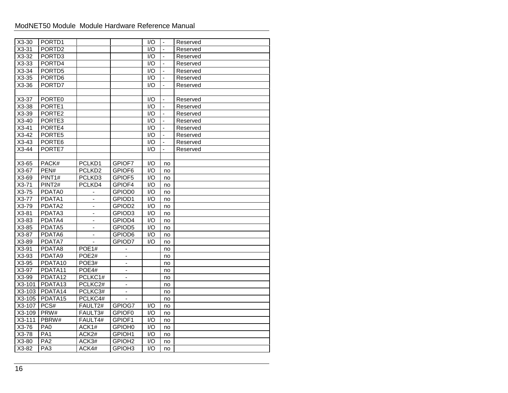# ModNET50 Module Module Hardware Reference Manual

| $X3-30$             | PORTD1              |                    |                          | 1/O              | $\overline{\phantom{a}}$ | Reserved |
|---------------------|---------------------|--------------------|--------------------------|------------------|--------------------------|----------|
| $X3-31$             | PORTD <sub>2</sub>  |                    |                          | I/O              | $\overline{a}$           | Reserved |
| $X3-32$             | PORTD3              |                    |                          | I/O              | $\blacksquare$           | Reserved |
| $X3-33$             | PORTD4              |                    |                          | I/O              | ÷,                       | Reserved |
| $X3-34$             | PORTD5              |                    |                          | I/O              | $\overline{a}$           | Reserved |
| $X3-35$             | PORTD <sub>6</sub>  |                    |                          | $\overline{1/O}$ | $\blacksquare$           | Reserved |
| $X3-36$             | PORTD7              |                    |                          | 1/O              | ÷,                       | Reserved |
|                     |                     |                    |                          |                  |                          |          |
| $X3-37$             | PORTE0              |                    |                          | I/O              | $\overline{\phantom{a}}$ | Reserved |
| X3-38               | PORTE1              |                    |                          | 1/O              | $\overline{\phantom{a}}$ | Reserved |
| X3-39               | PORTE2              |                    |                          | I/O              | ÷                        | Reserved |
| $X3-40$             | PORTE3              |                    |                          | I/O              | $\overline{a}$           | Reserved |
| $X3-41$             | PORTE4              |                    |                          | I/O              | $\overline{a}$           | Reserved |
| $X3-42$             | PORTE5              |                    |                          | $\overline{1/O}$ | $\blacksquare$           | Reserved |
| $X3-43$             | PORTE6              |                    |                          | 1/O              | $\overline{a}$           | Reserved |
| $X3-44$             | PORTE7              |                    |                          | $\overline{1/O}$ | $\overline{\phantom{a}}$ | Reserved |
|                     |                     |                    |                          |                  |                          |          |
| X3-65               | PACK#               | PCLKD1             | GPIOF7                   | I/O              | no                       |          |
| X3-67               | PEN#                | PCLKD <sub>2</sub> | GPIOF6                   | I/O              | no                       |          |
| X3-69               | PINT1#              | PCLKD3             | GPIOF5                   | I/O              | no                       |          |
| $X3-71$             | PINT <sub>2#</sub>  | PCLKD4             | GPIOF4                   | $\overline{1/O}$ | no                       |          |
| $X3-75$             | PDATA0              | $\blacksquare$     | GPIOD0                   | I/O              | no                       |          |
| $X3-77$             | PDATA1              | $\blacksquare$     | GPIOD1                   | $\overline{1/O}$ | no                       |          |
| $X3-79$             | PDATA2              | ä,                 | GPIOD <sub>2</sub>       | $\overline{1/O}$ | no                       |          |
| $X3-81$             | PDATA3              | ÷,                 | GPIOD3                   | $\overline{1/O}$ | no                       |          |
| $X3-83$             | PDATA4              | $\blacksquare$     | GPIOD4                   | I/O              | no                       |          |
| X3-85               | PDATA5              | ä,                 | GPIOD5                   | I/O              | no                       |          |
| $X3-87$             | PDATA6              |                    | GPIOD6                   | 1/O              | no                       |          |
| X3-89               | PDATA7              | $\blacksquare$     | GPIOD7                   | I/O              | no                       |          |
| X3-91               | PDATA8              | POE1#              |                          |                  | no                       |          |
| X3-93               | PDATA9              | POE2#              |                          |                  | no                       |          |
| $\overline{X3}$ -95 | PDATA10             | POE3#              | $\blacksquare$           |                  | no                       |          |
| X3-97               | PDATA11             | POE4#              | $\overline{\phantom{a}}$ |                  | no                       |          |
| X3-99               | PDATA12             | PCLKC1#            | $\overline{\phantom{a}}$ |                  | no                       |          |
| $X3-101$            | PDATA13             | PCLKC2#            | $\overline{a}$           |                  | no                       |          |
| $X3-103$            | PDATA <sub>14</sub> | PCLKC3#            | $\overline{\phantom{a}}$ |                  | no                       |          |
| X3-105              | PDATA <sub>15</sub> | PCLKC4#            | $\mathbf{r}$             |                  | no                       |          |
| X3-107              | PCS#                | FAULT2#            | GPIOG7                   | 1/O              | no                       |          |
| X3-109              | PRW#                | FAULT3#            | GPIOF0                   | I/O              | no                       |          |
| $X3-111$            | PBRW#               | FAULT4#            | GPIOF1                   | I/O              | no                       |          |
| X3-76               | PA <sub>0</sub>     | ACK1#              | GPIOH0                   | I/O              | no                       |          |
| X3-78               | PA <sub>1</sub>     | ACK2#              | GPIOH1                   | I/O              | no                       |          |
| $X3-80$             | PA <sub>2</sub>     | ACK3#              | GPIOH <sub>2</sub>       | 1/O              | no                       |          |
| $X3-82$             | PA3                 | ACK4#              | GPIOH <sub>3</sub>       | $\overline{1/O}$ | no                       |          |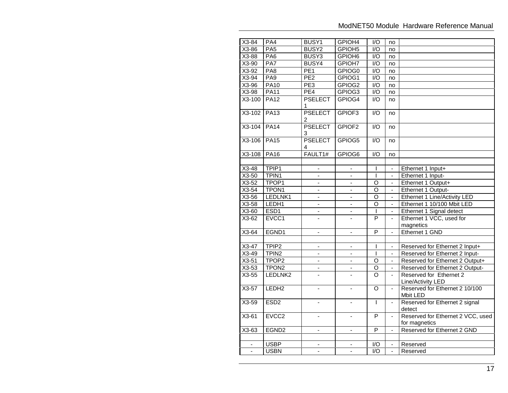| $X3-84$  | PA4               | BUSY1                    | GPIOH4                   | $\overline{1/O}$   | no             |                                                    |
|----------|-------------------|--------------------------|--------------------------|--------------------|----------------|----------------------------------------------------|
| X3-86    | PA <sub>5</sub>   | BUSY2                    | GPIOH <sub>5</sub>       | I/O                | no             |                                                    |
| X3-88    | $P\overline{AB}$  | BUSY3                    | GPIOH <sub>6</sub>       | $\overline{1/O}$   | no             |                                                    |
| $X3-90$  | PA7               | BUSY4                    | GPIOH7                   | $\overline{1/O}$   | no             |                                                    |
| X3-92    | PA <sub>8</sub>   | $\overline{PE1}$         | GPIOG0                   | $\overline{1/O}$   | no             |                                                    |
| $X3-94$  | PA <sub>9</sub>   | PE2                      | GPIOG1                   | $\overline{1/O}$   | no             |                                                    |
| X3-96    | <b>PA10</b>       | PE3                      | GPIOG2                   | I/O                | no             |                                                    |
| $X3-98$  | <b>PA11</b>       | PE4                      | GPIOG3                   | $\overline{1/O}$   | no             |                                                    |
| X3-100   | <b>PA12</b>       | <b>PSELECT</b><br>1      | GPIOG4                   | 1/O                | no             |                                                    |
| $X3-102$ | <b>PA13</b>       | <b>PSELECT</b><br>2      | GPIOF3                   | $\overline{1/O}$   | no             |                                                    |
| $X3-104$ | <b>PA14</b>       | <b>PSELECT</b><br>3      | GPIOF <sub>2</sub>       | $\overline{1/O}$   | no             |                                                    |
| $X3-106$ | <b>PA15</b>       | <b>PSELECT</b><br>4      | GPIOG5                   | $\overline{1/O}$   | no             |                                                    |
| $X3-108$ | <b>PA16</b>       | FAULT1#                  | GPIOG6                   | $\overline{1/O}$   | no             |                                                    |
|          |                   |                          |                          |                    |                |                                                    |
| $X3-48$  | TPIP1             |                          |                          | $\overline{1}$     |                | Ethernet 1 Input+                                  |
| $X3-50$  | TPIN1             | ÷,                       | $\omega$                 | $\mathbf{I}$       | $\omega$       | Ethernet 1 Input-                                  |
| $X3-52$  | TPOP1             | $\overline{\phantom{a}}$ | ÷                        | $\overline{O}$     | -              | Ethernet 1 Output+                                 |
| $X3-54$  | TPON <sub>1</sub> |                          |                          | $\overline{O}$     |                | Ethernet 1 Output-                                 |
| $X3-56$  | LEDLNK1           | $\blacksquare$           | $\blacksquare$           | $\overline{\circ}$ | $\blacksquare$ | Ethernet 1 Line/Activity LED                       |
| $X3-58$  | LEDH1             | $\blacksquare$           | $\overline{\phantom{a}}$ | O                  | ٠              | Ethernet 1 10/100 Mbit LED                         |
| $X3-60$  | ESD <sub>1</sub>  |                          |                          | $\mathsf{I}$       |                | Ethernet 1 Signal detect                           |
| $X3-62$  | EVCC1             | $\overline{a}$           | $\overline{a}$           | $\overline{P}$     | ä,             | Ethernet 1 VCC, used for<br>magnetics              |
| $X3-64$  | EGND1             | $\blacksquare$           | $\blacksquare$           | P                  | $\overline{a}$ | Ethernet 1 GND                                     |
|          |                   |                          |                          |                    |                |                                                    |
| $X3-47$  | TPIP <sub>2</sub> | $\blacksquare$           | $\blacksquare$           | $\mathsf{I}$       | $\blacksquare$ | Reserved for Ethernet 2 Input+                     |
| $X3-49$  | TPIN <sub>2</sub> | ä,                       | $\overline{a}$           | $\overline{1}$     | $\mathbf{r}$   | Reserved for Ethernet 2 Input-                     |
| $X3-51$  | TPOP <sub>2</sub> | $\blacksquare$           | $\blacksquare$           | O                  | ÷,             | Reserved for Ethernet 2 Output+                    |
| $X3-53$  | TPON <sub>2</sub> | $\overline{\phantom{0}}$ | $\blacksquare$           | $\overline{\rm o}$ | $\blacksquare$ | Reserved for Ethernet 2 Output-                    |
| $X3-55$  | LEDLNK2           | L.                       | L.                       | $\overline{0}$     | ÷.             | Reserved for Ethernet 2<br>Line/Activity LED       |
| $X3-57$  | LEDH <sub>2</sub> |                          |                          | $\overline{\circ}$ | $\overline{a}$ | Reserved for Ethernet 2 10/100<br>Mbit LED         |
| $X3-59$  | ESD <sub>2</sub>  | $\blacksquare$           | $\overline{\phantom{a}}$ | $\overline{1}$     | $\blacksquare$ | Reserved for Ethernet 2 signal<br>detect           |
| $X3-61$  | EVCC <sub>2</sub> | $\blacksquare$           | ÷,                       | P                  | ÷,             | Reserved for Ethernet 2 VCC, used<br>for magnetics |
| X3-63    | EGND <sub>2</sub> | $\overline{\phantom{a}}$ | $\blacksquare$           | P                  | $\blacksquare$ | Reserved for Ethernet 2 GND                        |
|          |                   |                          |                          |                    |                |                                                    |
|          | <b>USBP</b>       |                          |                          | I/O                |                | Reserved                                           |
| $\Box$   | <b>USBN</b>       | $\blacksquare$           | $\blacksquare$           | $\overline{1/O}$   | $\blacksquare$ | Reserved                                           |
|          |                   |                          |                          |                    |                |                                                    |